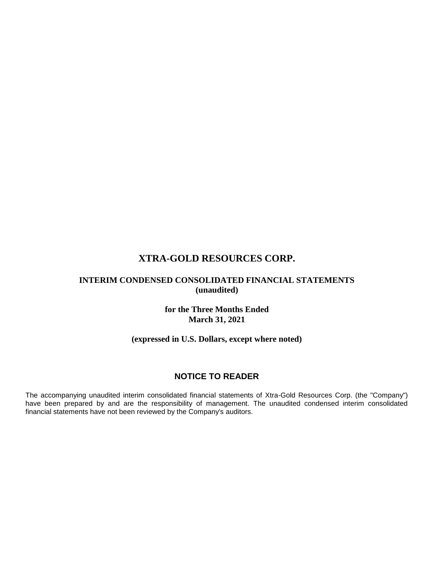# **INTERIM CONDENSED CONSOLIDATED FINANCIAL STATEMENTS (unaudited)**

**for the Three Months Ended March 31, 2021**

**(expressed in U.S. Dollars, except where noted)**

# **NOTICE TO READER**

The accompanying unaudited interim consolidated financial statements of Xtra-Gold Resources Corp. (the "Company") have been prepared by and are the responsibility of management. The unaudited condensed interim consolidated financial statements have not been reviewed by the Company's auditors.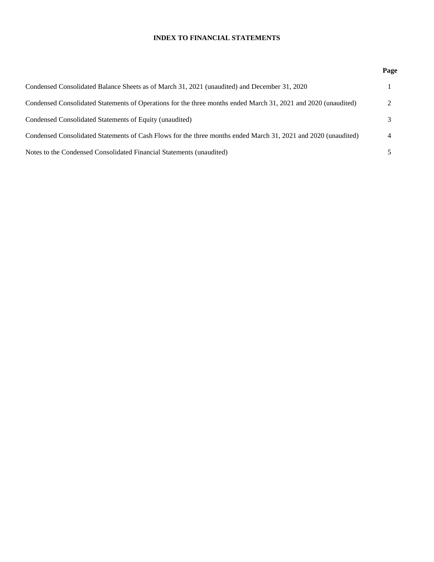# **INDEX TO FINANCIAL STATEMENTS**

|                                                                                                                | .              |
|----------------------------------------------------------------------------------------------------------------|----------------|
| Condensed Consolidated Balance Sheets as of March 31, 2021 (unaudited) and December 31, 2020                   |                |
| Condensed Consolidated Statements of Operations for the three months ended March 31, 2021 and 2020 (unaudited) | $\mathcal{L}$  |
| Condensed Consolidated Statements of Equity (unaudited)                                                        | 3              |
| Condensed Consolidated Statements of Cash Flows for the three months ended March 31, 2021 and 2020 (unaudited) | $\overline{4}$ |
| Notes to the Condensed Consolidated Financial Statements (unaudited)                                           | 5.             |

# **Page**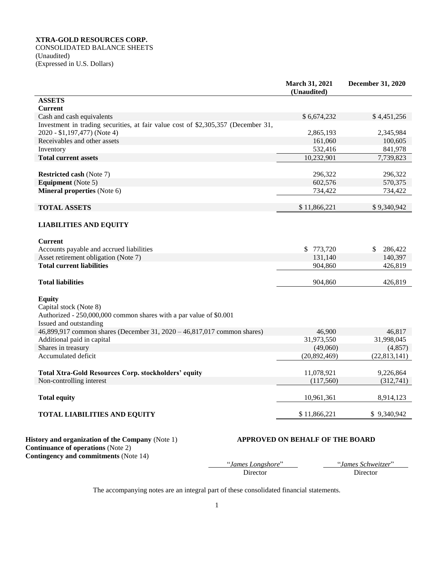# CONSOLIDATED BALANCE SHEETS

(Unaudited) (Expressed in U.S. Dollars)

|                                                                                                               | (Unaudited)             |                                                                              |
|---------------------------------------------------------------------------------------------------------------|-------------------------|------------------------------------------------------------------------------|
| <b>ASSETS</b>                                                                                                 |                         |                                                                              |
| <b>Current</b>                                                                                                |                         |                                                                              |
| Cash and cash equivalents                                                                                     | \$6,674,232             | \$4,451,256                                                                  |
| Investment in trading securities, at fair value cost of \$2,305,357 (December 31,                             |                         |                                                                              |
| 2020 - \$1,197,477) (Note 4)                                                                                  | 2,865,193               | 2,345,984                                                                    |
| Receivables and other assets                                                                                  | 161,060                 | 100,605                                                                      |
| Inventory                                                                                                     | 532,416                 | 841,978                                                                      |
| <b>Total current assets</b>                                                                                   | 10,232,901              | 7,739,823                                                                    |
| <b>Restricted cash (Note 7)</b>                                                                               | 296,322                 | 296,322                                                                      |
| <b>Equipment</b> (Note 5)                                                                                     | 602,576                 | 570,375                                                                      |
| Mineral properties (Note 6)                                                                                   | 734,422                 | 734,422                                                                      |
|                                                                                                               |                         |                                                                              |
| <b>TOTAL ASSETS</b>                                                                                           | \$11,866,221            | \$9,340,942                                                                  |
| <b>LIABILITIES AND EQUITY</b>                                                                                 |                         |                                                                              |
| <b>Current</b>                                                                                                |                         |                                                                              |
| Accounts payable and accrued liabilities                                                                      | \$ 773,720              | \$<br>286,422                                                                |
|                                                                                                               | 131,140                 | 140,397                                                                      |
|                                                                                                               |                         |                                                                              |
| Asset retirement obligation (Note 7)<br><b>Total current liabilities</b>                                      | 904,860                 |                                                                              |
| <b>Total liabilities</b>                                                                                      | 904,860                 | 426,819<br>426,819                                                           |
|                                                                                                               |                         |                                                                              |
| <b>Equity</b><br>Capital stock (Note 8)<br>Authorized - 250,000,000 common shares with a par value of \$0.001 |                         |                                                                              |
| Issued and outstanding                                                                                        |                         |                                                                              |
| 46,899,917 common shares (December 31, 2020 - 46,817,017 common shares)                                       | 46,900                  |                                                                              |
| Additional paid in capital                                                                                    | 31,973,550              |                                                                              |
| Shares in treasury                                                                                            | (49,060)                |                                                                              |
| Accumulated deficit                                                                                           | (20,892,469)            |                                                                              |
|                                                                                                               |                         |                                                                              |
| <b>Total Xtra-Gold Resources Corp. stockholders' equity</b><br>Non-controlling interest                       | 11,078,921<br>(117,560) | 46,817<br>31,998,045<br>(4, 857)<br>(22, 813, 141)<br>9,226,864<br>(312,741) |
| <b>Total equity</b>                                                                                           | 10,961,361              | 8,914,123                                                                    |

Director Director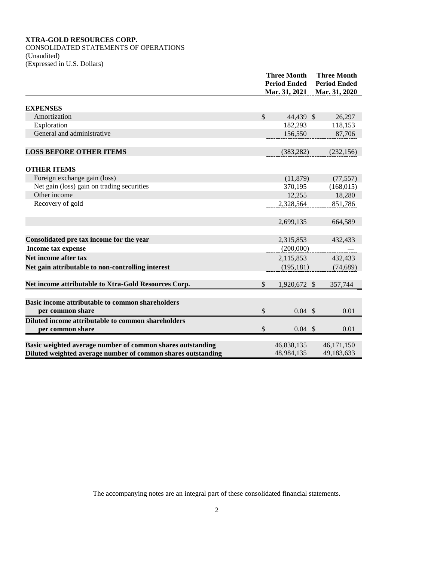# CONSOLIDATED STATEMENTS OF OPERATIONS

(Unaudited) (Expressed in U.S. Dollars)

|                                                              | <b>Three Month</b>      | <b>Three Month</b>  |
|--------------------------------------------------------------|-------------------------|---------------------|
|                                                              | <b>Period Ended</b>     | <b>Period Ended</b> |
|                                                              | Mar. 31, 2021           | Mar. 31, 2020       |
|                                                              |                         |                     |
| <b>EXPENSES</b>                                              |                         |                     |
| Amortization                                                 | \$<br>44,439 \$         | 26,297              |
| Exploration                                                  | 182,293                 | 118,153             |
| General and administrative                                   | 156,550                 | 87,706              |
|                                                              |                         |                     |
| <b>LOSS BEFORE OTHER ITEMS</b>                               | (383, 282)              | (232, 156)          |
|                                                              |                         |                     |
| <b>OTHER ITEMS</b>                                           |                         |                     |
| Foreign exchange gain (loss)                                 | (11, 879)               | (77, 557)           |
| Net gain (loss) gain on trading securities                   | 370,195                 | (168, 015)          |
| Other income                                                 | 12,255                  | 18,280              |
| Recovery of gold                                             | 2,328,564               | 851,786             |
|                                                              |                         |                     |
|                                                              | 2,699,135               | 664,589             |
|                                                              |                         |                     |
| Consolidated pre tax income for the year                     | 2,315,853               | 432,433             |
| <b>Income tax expense</b>                                    | (200,000)               |                     |
| Net income after tax                                         | 2,115,853               | 432,433             |
| Net gain attributable to non-controlling interest            | (195, 181)              | (74, 689)           |
|                                                              |                         |                     |
| Net income attributable to Xtra-Gold Resources Corp.         | \$<br>1,920,672 \$      | 357,744             |
|                                                              |                         |                     |
| Basic income attributable to common shareholders             |                         |                     |
| per common share                                             | \$<br>$0.04 \text{ } $$ | 0.01                |
| Diluted income attributable to common shareholders           |                         |                     |
| per common share                                             | \$<br>$0.04$ \$         | 0.01                |
|                                                              |                         |                     |
| Basic weighted average number of common shares outstanding   | 46,838,135              | 46,171,150          |
| Diluted weighted average number of common shares outstanding | 48,984,135              | 49,183,633          |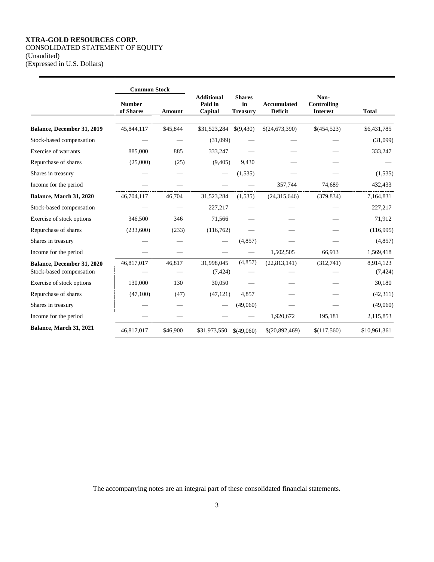# CONSOLIDATED STATEMENT OF EQUITY (Unaudited) (Expressed in U.S. Dollars)

|                                                        | <b>Common Stock</b>        |          |                                         |                                        |                                      |                                        |                       |
|--------------------------------------------------------|----------------------------|----------|-----------------------------------------|----------------------------------------|--------------------------------------|----------------------------------------|-----------------------|
|                                                        | <b>Number</b><br>of Shares | Amount   | <b>Additional</b><br>Paid in<br>Capital | <b>Shares</b><br>in<br><b>Treasury</b> | <b>Accumulated</b><br><b>Deficit</b> | Non-<br>Controlling<br><b>Interest</b> | <b>Total</b>          |
| Balance, December 31, 2019                             | 45,844,117                 | \$45,844 | \$31,523,284                            | \$(9,430)                              | \$(24,673,390)                       | \$(454,523)                            | \$6,431,785           |
| Stock-based compensation                               |                            |          | (31,099)                                |                                        |                                      |                                        | (31,099)              |
| Exercise of warrants                                   | 885,000                    | 885      | 333,247                                 |                                        |                                      |                                        | 333,247               |
| Repurchase of shares                                   | (25,000)                   | (25)     | (9,405)                                 | 9,430                                  |                                      |                                        |                       |
| Shares in treasury                                     |                            |          |                                         | (1,535)                                |                                      |                                        | (1,535)               |
| Income for the period                                  |                            |          |                                         |                                        | 357,744                              | 74,689                                 | 432,433               |
| <b>Balance, March 31, 2020</b>                         | 46,704,117                 | 46,704   | 31,523,284                              | (1,535)                                | (24,315,646)                         | (379, 834)                             | 7,164,831             |
| Stock-based compensation                               |                            |          | 227,217                                 |                                        |                                      |                                        | 227,217               |
| Exercise of stock options                              | 346,500                    | 346      | 71,566                                  |                                        |                                      |                                        | 71,912                |
| Repurchase of shares                                   | (233,600)                  | (233)    | (116,762)                               |                                        |                                      |                                        | (116,995)             |
| Shares in treasury                                     |                            |          |                                         | (4, 857)                               |                                      |                                        | (4, 857)              |
| Income for the period                                  |                            |          |                                         |                                        | 1,502,505                            | 66,913                                 | 1,569,418             |
| Balance, December 31, 2020<br>Stock-based compensation | 46,817,017                 | 46,817   | 31,998,045<br>(7, 424)                  | (4, 857)                               | (22, 813, 141)                       | (312,741)                              | 8,914,123<br>(7, 424) |
| Exercise of stock options                              | 130,000                    | 130      | 30,050                                  |                                        |                                      |                                        | 30,180                |
| Repurchase of shares                                   | (47,100)                   | (47)     | (47, 121)                               | 4.857                                  |                                      |                                        | (42,311)              |
| Shares in treasury                                     |                            |          |                                         | (49,060)                               |                                      |                                        | (49,060)              |
| Income for the period                                  |                            |          |                                         |                                        | 1,920,672                            | 195,181                                | 2,115,853             |
| Balance, March 31, 2021                                | 46,817,017                 | \$46,900 | \$31,973,550                            | \$(49,060)                             | \$(20,892,469)                       | \$(117,560)                            | \$10,961,361          |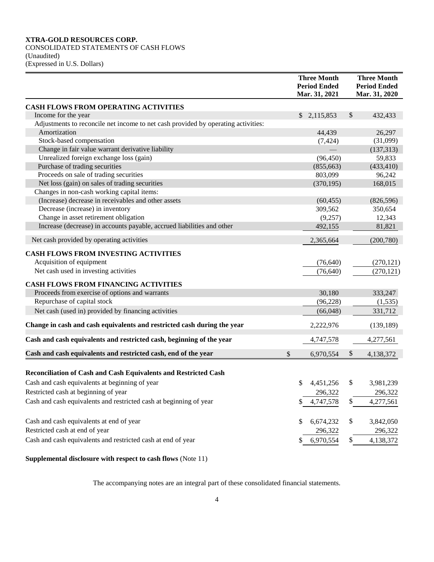# **XTRA-GOLD RESOURCES CORP.** CONSOLIDATED STATEMENTS OF CASH FLOWS (Unaudited) (Expressed in U.S. Dollars)

|                                                                                   | <b>Three Month</b><br><b>Period Ended</b><br>Mar. 31, 2021 | <b>Three Month</b><br><b>Period Ended</b><br>Mar. 31, 2020 |
|-----------------------------------------------------------------------------------|------------------------------------------------------------|------------------------------------------------------------|
| <b>CASH FLOWS FROM OPERATING ACTIVITIES</b>                                       |                                                            |                                                            |
| Income for the year                                                               | \$<br>2,115,853                                            | \$<br>432,433                                              |
| Adjustments to reconcile net income to net cash provided by operating activities: |                                                            |                                                            |
| Amortization                                                                      | 44,439                                                     | 26,297                                                     |
| Stock-based compensation                                                          | (7, 424)                                                   | (31,099)                                                   |
| Change in fair value warrant derivative liability                                 |                                                            | (137, 313)                                                 |
| Unrealized foreign exchange loss (gain)                                           | (96, 450)                                                  | 59,833                                                     |
| Purchase of trading securities                                                    | (855, 663)                                                 | (433, 410)                                                 |
| Proceeds on sale of trading securities                                            | 803,099                                                    | 96,242                                                     |
| Net loss (gain) on sales of trading securities                                    | (370, 195)                                                 | 168,015                                                    |
| Changes in non-cash working capital items:                                        |                                                            |                                                            |
| (Increase) decrease in receivables and other assets                               | (60, 455)                                                  | (826,596)                                                  |
| Decrease (increase) in inventory                                                  | 309,562                                                    | 350,654                                                    |
| Change in asset retirement obligation                                             | (9,257)                                                    | 12,343                                                     |
| Increase (decrease) in accounts payable, accrued liabilities and other            | 492,155                                                    | 81,821                                                     |
| Net cash provided by operating activities                                         | 2,365,664                                                  | (200, 780)                                                 |
| <b>CASH FLOWS FROM INVESTING ACTIVITIES</b>                                       |                                                            |                                                            |
| Acquisition of equipment                                                          | (76, 640)                                                  | (270, 121)                                                 |
| Net cash used in investing activities                                             | (76, 640)                                                  | (270, 121)                                                 |
| <b>CASH FLOWS FROM FINANCING ACTIVITIES</b>                                       |                                                            |                                                            |
| Proceeds from exercise of options and warrants                                    | 30,180                                                     | 333,247                                                    |
| Repurchase of capital stock                                                       | (96, 228)                                                  | (1, 535)                                                   |
| Net cash (used in) provided by financing activities                               | (66,048)                                                   | 331,712                                                    |
| Change in cash and cash equivalents and restricted cash during the year           | 2,222,976                                                  | (139, 189)                                                 |
| Cash and cash equivalents and restricted cash, beginning of the year              | 4,747,578                                                  | 4,277,561                                                  |
| Cash and cash equivalents and restricted cash, end of the year                    | \$<br>6,970,554                                            | \$<br>4,138,372                                            |
| <b>Reconciliation of Cash and Cash Equivalents and Restricted Cash</b>            |                                                            |                                                            |
| Cash and cash equivalents at beginning of year                                    | \$<br>4,451,256                                            | \$<br>3,981,239                                            |
| Restricted cash at beginning of year                                              | 296,322                                                    | 296,322                                                    |
|                                                                                   |                                                            |                                                            |
| Cash and cash equivalents and restricted cash at beginning of year                | \$<br>4,747,578                                            | \$<br>4,277,561                                            |
| Cash and cash equivalents at end of year                                          | \$<br>6,674,232                                            | \$<br>3,842,050                                            |
| Restricted cash at end of year                                                    | 296,322                                                    | 296,322                                                    |
| Cash and cash equivalents and restricted cash at end of year                      | \$<br>6,970,554                                            | \$<br>4,138,372                                            |

# **Supplemental disclosure with respect to cash flows** (Note 11)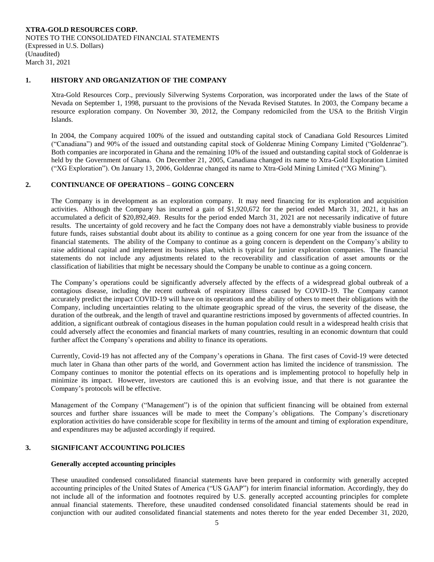## **1. HISTORY AND ORGANIZATION OF THE COMPANY**

Xtra-Gold Resources Corp., previously Silverwing Systems Corporation, was incorporated under the laws of the State of Nevada on September 1, 1998, pursuant to the provisions of the Nevada Revised Statutes. In 2003, the Company became a resource exploration company. On November 30, 2012, the Company redomiciled from the USA to the British Virgin Islands.

In 2004, the Company acquired 100% of the issued and outstanding capital stock of Canadiana Gold Resources Limited ("Canadiana") and 90% of the issued and outstanding capital stock of Goldenrae Mining Company Limited ("Goldenrae"). Both companies are incorporated in Ghana and the remaining 10% of the issued and outstanding capital stock of Goldenrae is held by the Government of Ghana. On December 21, 2005, Canadiana changed its name to Xtra-Gold Exploration Limited ("XG Exploration"). On January 13, 2006, Goldenrae changed its name to Xtra-Gold Mining Limited ("XG Mining").

# **2. CONTINUANCE OF OPERATIONS – GOING CONCERN**

The Company is in development as an exploration company. It may need financing for its exploration and acquisition activities. Although the Company has incurred a gain of \$1,920,672 for the period ended March 31, 2021, it has an accumulated a deficit of \$20,892,469. Results for the period ended March 31, 2021 are not necessarily indicative of future results. The uncertainty of gold recovery and he fact the Company does not have a demonstrably viable business to provide future funds, raises substantial doubt about its ability to continue as a going concern for one year from the issuance of the financial statements. The ability of the Company to continue as a going concern is dependent on the Company's ability to raise additional capital and implement its business plan, which is typical for junior exploration companies. The financial statements do not include any adjustments related to the recoverability and classification of asset amounts or the classification of liabilities that might be necessary should the Company be unable to continue as a going concern.

The Company's operations could be significantly adversely affected by the effects of a widespread global outbreak of a contagious disease, including the recent outbreak of respiratory illness caused by COVID-19. The Company cannot accurately predict the impact COVID-19 will have on its operations and the ability of others to meet their obligations with the Company, including uncertainties relating to the ultimate geographic spread of the virus, the severity of the disease, the duration of the outbreak, and the length of travel and quarantine restrictions imposed by governments of affected countries. In addition, a significant outbreak of contagious diseases in the human population could result in a widespread health crisis that could adversely affect the economies and financial markets of many countries, resulting in an economic downturn that could further affect the Company's operations and ability to finance its operations.

Currently, Covid-19 has not affected any of the Company's operations in Ghana. The first cases of Covid-19 were detected much later in Ghana than other parts of the world, and Government action has limited the incidence of transmission. The Company continues to monitor the potential effects on its operations and is implementing protocol to hopefully help in minimize its impact. However, investors are cautioned this is an evolving issue, and that there is not guarantee the Company's protocols will be effective.

Management of the Company ("Management") is of the opinion that sufficient financing will be obtained from external sources and further share issuances will be made to meet the Company's obligations. The Company's discretionary exploration activities do have considerable scope for flexibility in terms of the amount and timing of exploration expenditure, and expenditures may be adjusted accordingly if required.

## **3. SIGNIFICANT ACCOUNTING POLICIES**

#### **Generally accepted accounting principles**

These unaudited condensed consolidated financial statements have been prepared in conformity with generally accepted accounting principles of the United States of America ("US GAAP") for interim financial information. Accordingly, they do not include all of the information and footnotes required by U.S. generally accepted accounting principles for complete annual financial statements. Therefore, these unaudited condensed consolidated financial statements should be read in conjunction with our audited consolidated financial statements and notes thereto for the year ended December 31, 2020,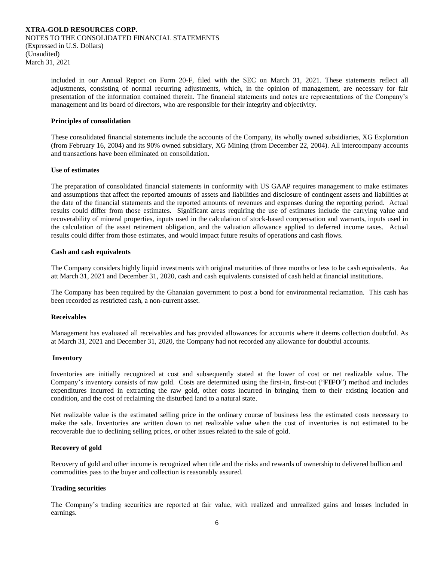included in our Annual Report on Form 20-F, filed with the SEC on March 31, 2021. These statements reflect all adjustments, consisting of normal recurring adjustments, which, in the opinion of management, are necessary for fair presentation of the information contained therein. The financial statements and notes are representations of the Company's management and its board of directors, who are responsible for their integrity and objectivity.

#### **Principles of consolidation**

These consolidated financial statements include the accounts of the Company, its wholly owned subsidiaries, XG Exploration (from February 16, 2004) and its 90% owned subsidiary, XG Mining (from December 22, 2004). All intercompany accounts and transactions have been eliminated on consolidation.

#### **Use of estimates**

The preparation of consolidated financial statements in conformity with US GAAP requires management to make estimates and assumptions that affect the reported amounts of assets and liabilities and disclosure of contingent assets and liabilities at the date of the financial statements and the reported amounts of revenues and expenses during the reporting period. Actual results could differ from those estimates. Significant areas requiring the use of estimates include the carrying value and recoverability of mineral properties, inputs used in the calculation of stock-based compensation and warrants, inputs used in the calculation of the asset retirement obligation, and the valuation allowance applied to deferred income taxes. Actual results could differ from those estimates, and would impact future results of operations and cash flows.

#### **Cash and cash equivalents**

The Company considers highly liquid investments with original maturities of three months or less to be cash equivalents. Aa att March 31, 2021 and December 31, 2020, cash and cash equivalents consisted of cash held at financial institutions.

The Company has been required by the Ghanaian government to post a bond for environmental reclamation. This cash has been recorded as restricted cash, a non-current asset.

#### **Receivables**

Management has evaluated all receivables and has provided allowances for accounts where it deems collection doubtful. As at March 31, 2021 and December 31, 2020, the Company had not recorded any allowance for doubtful accounts.

#### **Inventory**

Inventories are initially recognized at cost and subsequently stated at the lower of cost or net realizable value. The Company's inventory consists of raw gold. Costs are determined using the first-in, first-out ("**FIFO**") method and includes expenditures incurred in extracting the raw gold, other costs incurred in bringing them to their existing location and condition, and the cost of reclaiming the disturbed land to a natural state.

Net realizable value is the estimated selling price in the ordinary course of business less the estimated costs necessary to make the sale. Inventories are written down to net realizable value when the cost of inventories is not estimated to be recoverable due to declining selling prices, or other issues related to the sale of gold.

#### **Recovery of gold**

Recovery of gold and other income is recognized when title and the risks and rewards of ownership to delivered bullion and commodities pass to the buyer and collection is reasonably assured.

## **Trading securities**

The Company's trading securities are reported at fair value, with realized and unrealized gains and losses included in earnings.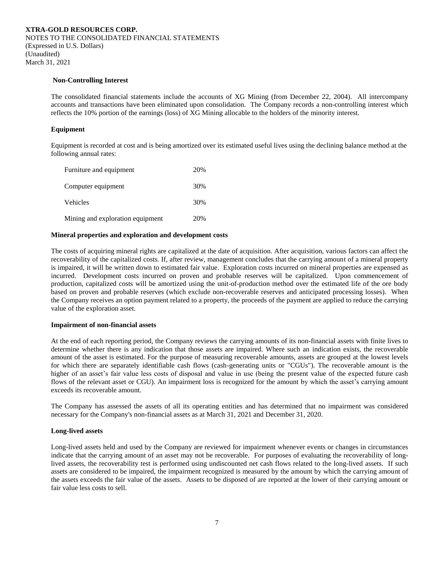## **Non-Controlling Interest**

The consolidated financial statements include the accounts of XG Mining (from December 22, 2004). All intercompany accounts and transactions have been eliminated upon consolidation. The Company records a non-controlling interest which reflects the 10% portion of the earnings (loss) of XG Mining allocable to the holders of the minority interest.

#### **Equipment**

Equipment is recorded at cost and is being amortized over its estimated useful lives using the declining balance method at the following annual rates:

| Furniture and equipment          | 20% |
|----------------------------------|-----|
| Computer equipment               | 30% |
| Vehicles                         | 30% |
| Mining and exploration equipment | 20% |

#### **Mineral properties and exploration and development costs**

The costs of acquiring mineral rights are capitalized at the date of acquisition. After acquisition, various factors can affect the recoverability of the capitalized costs. If, after review, management concludes that the carrying amount of a mineral property is impaired, it will be written down to estimated fair value. Exploration costs incurred on mineral properties are expensed as incurred. Development costs incurred on proven and probable reserves will be capitalized. Upon commencement of production, capitalized costs will be amortized using the unit-of-production method over the estimated life of the ore body based on proven and probable reserves (which exclude non-recoverable reserves and anticipated processing losses). When the Company receives an option payment related to a property, the proceeds of the payment are applied to reduce the carrying value of the exploration asset.

#### **Impairment of non-financial assets**

At the end of each reporting period, the Company reviews the carrying amounts of its non-financial assets with finite lives to determine whether there is any indication that those assets are impaired. Where such an indication exists, the recoverable amount of the asset is estimated. For the purpose of measuring recoverable amounts, assets are grouped at the lowest levels for which there are separately identifiable cash flows (cash-generating units or "CGUs"). The recoverable amount is the higher of an asset's fair value less costs of disposal and value in use (being the present value of the expected future cash flows of the relevant asset or CGU). An impairment loss is recognized for the amount by which the asset's carrying amount exceeds its recoverable amount.

The Company has assessed the assets of all its operating entities and has determined that no impairment was considered necessary for the Company's non-financial assets as at March 31, 2021 and December 31, 2020.

#### **Long-lived assets**

Long-lived assets held and used by the Company are reviewed for impairment whenever events or changes in circumstances indicate that the carrying amount of an asset may not be recoverable. For purposes of evaluating the recoverability of longlived assets, the recoverability test is performed using undiscounted net cash flows related to the long-lived assets. If such assets are considered to be impaired, the impairment recognized is measured by the amount by which the carrying amount of the assets exceeds the fair value of the assets. Assets to be disposed of are reported at the lower of their carrying amount or fair value less costs to sell.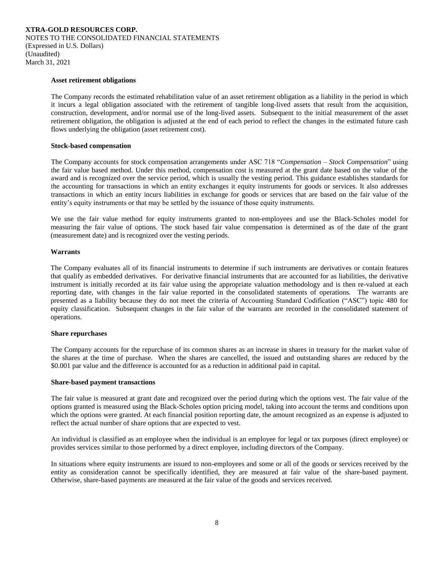#### **Asset retirement obligations**

The Company records the estimated rehabilitation value of an asset retirement obligation as a liability in the period in which it incurs a legal obligation associated with the retirement of tangible long-lived assets that result from the acquisition, construction, development, and/or normal use of the long-lived assets. Subsequent to the initial measurement of the asset retirement obligation, the obligation is adjusted at the end of each period to reflect the changes in the estimated future cash flows underlying the obligation (asset retirement cost).

#### **Stock-based compensation**

The Company accounts for stock compensation arrangements under ASC 718 "*Compensation – Stock Compensation*" using the fair value based method. Under this method, compensation cost is measured at the grant date based on the value of the award and is recognized over the service period, which is usually the vesting period. This guidance establishes standards for the accounting for transactions in which an entity exchanges it equity instruments for goods or services. It also addresses transactions in which an entity incurs liabilities in exchange for goods or services that are based on the fair value of the entity's equity instruments or that may be settled by the issuance of those equity instruments.

We use the fair value method for equity instruments granted to non-employees and use the Black-Scholes model for measuring the fair value of options. The stock based fair value compensation is determined as of the date of the grant (measurement date) and is recognized over the vesting periods.

#### **Warrants**

The Company evaluates all of its financial instruments to determine if such instruments are derivatives or contain features that qualify as embedded derivatives. For derivative financial instruments that are accounted for as liabilities, the derivative instrument is initially recorded at its fair value using the appropriate valuation methodology and is then re-valued at each reporting date, with changes in the fair value reported in the consolidated statements of operations. The warrants are presented as a liability because they do not meet the criteria of Accounting Standard Codification ("ASC") topic 480 for equity classification. Subsequent changes in the fair value of the warrants are recorded in the consolidated statement of operations.

#### **Share repurchases**

The Company accounts for the repurchase of its common shares as an increase in shares in treasury for the market value of the shares at the time of purchase. When the shares are cancelled, the issued and outstanding shares are reduced by the \$0.001 par value and the difference is accounted for as a reduction in additional paid in capital.

## **Share-based payment transactions**

The fair value is measured at grant date and recognized over the period during which the options vest. The fair value of the options granted is measured using the Black-Scholes option pricing model, taking into account the terms and conditions upon which the options were granted. At each financial position reporting date, the amount recognized as an expense is adjusted to reflect the actual number of share options that are expected to vest.

An individual is classified as an employee when the individual is an employee for legal or tax purposes (direct employee) or provides services similar to those performed by a direct employee, including directors of the Company.

In situations where equity instruments are issued to non-employees and some or all of the goods or services received by the entity as consideration cannot be specifically identified, they are measured at fair value of the share-based payment. Otherwise, share-based payments are measured at the fair value of the goods and services received.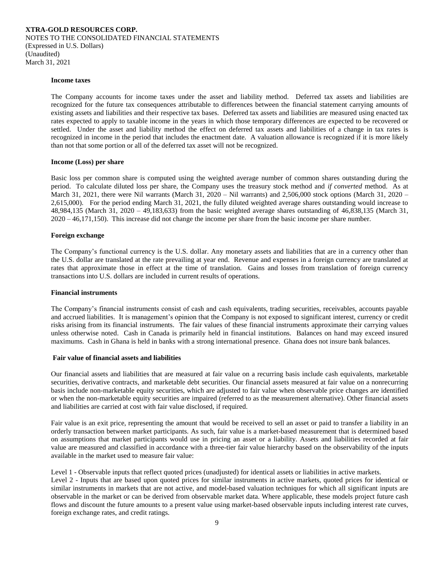#### **Income taxes**

The Company accounts for income taxes under the asset and liability method. Deferred tax assets and liabilities are recognized for the future tax consequences attributable to differences between the financial statement carrying amounts of existing assets and liabilities and their respective tax bases. Deferred tax assets and liabilities are measured using enacted tax rates expected to apply to taxable income in the years in which those temporary differences are expected to be recovered or settled. Under the asset and liability method the effect on deferred tax assets and liabilities of a change in tax rates is recognized in income in the period that includes the enactment date. A valuation allowance is recognized if it is more likely than not that some portion or all of the deferred tax asset will not be recognized.

#### **Income (Loss) per share**

Basic loss per common share is computed using the weighted average number of common shares outstanding during the period. To calculate diluted loss per share, the Company uses the treasury stock method and *if converted* method. As at March 31, 2021, there were Nil warrants (March 31, 2020 – Nil warrants) and 2,506,000 stock options (March 31, 2020 – 2,615,000). For the period ending March 31, 2021, the fully diluted weighted average shares outstanding would increase to 48,984,135 (March 31, 2020 – 49,183,633) from the basic weighted average shares outstanding of 46,838,135 (March 31, 2020 – 46,171,150). This increase did not change the income per share from the basic income per share number.

#### **Foreign exchange**

The Company's functional currency is the U.S. dollar. Any monetary assets and liabilities that are in a currency other than the U.S. dollar are translated at the rate prevailing at year end. Revenue and expenses in a foreign currency are translated at rates that approximate those in effect at the time of translation. Gains and losses from translation of foreign currency transactions into U.S. dollars are included in current results of operations.

## **Financial instruments**

The Company's financial instruments consist of cash and cash equivalents, trading securities, receivables, accounts payable and accrued liabilities. It is management's opinion that the Company is not exposed to significant interest, currency or credit risks arising from its financial instruments. The fair values of these financial instruments approximate their carrying values unless otherwise noted. Cash in Canada is primarily held in financial institutions. Balances on hand may exceed insured maximums. Cash in Ghana is held in banks with a strong international presence. Ghana does not insure bank balances.

#### **Fair value of financial assets and liabilities**

Our financial assets and liabilities that are measured at fair value on a recurring basis include cash equivalents, marketable securities, derivative contracts, and marketable debt securities. Our financial assets measured at fair value on a nonrecurring basis include non-marketable equity securities, which are adjusted to fair value when observable price changes are identified or when the non-marketable equity securities are impaired (referred to as the measurement alternative). Other financial assets and liabilities are carried at cost with fair value disclosed, if required.

Fair value is an exit price, representing the amount that would be received to sell an asset or paid to transfer a liability in an orderly transaction between market participants. As such, fair value is a market-based measurement that is determined based on assumptions that market participants would use in pricing an asset or a liability. Assets and liabilities recorded at fair value are measured and classified in accordance with a three-tier fair value hierarchy based on the observability of the inputs available in the market used to measure fair value:

Level 1 - Observable inputs that reflect quoted prices (unadjusted) for identical assets or liabilities in active markets. Level 2 - Inputs that are based upon quoted prices for similar instruments in active markets, quoted prices for identical or similar instruments in markets that are not active, and model-based valuation techniques for which all significant inputs are observable in the market or can be derived from observable market data. Where applicable, these models project future cash flows and discount the future amounts to a present value using market-based observable inputs including interest rate curves, foreign exchange rates, and credit ratings.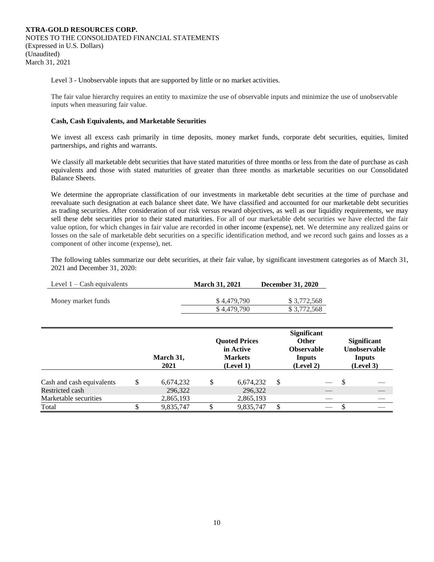Level 3 - Unobservable inputs that are supported by little or no market activities.

The fair value hierarchy requires an entity to maximize the use of observable inputs and minimize the use of unobservable inputs when measuring fair value.

## **Cash, Cash Equivalents, and Marketable Securities**

We invest all excess cash primarily in time deposits, money market funds, corporate debt securities, equities, limited partnerships, and rights and warrants.

We classify all marketable debt securities that have stated maturities of three months or less from the date of purchase as cash equivalents and those with stated maturities of greater than three months as marketable securities on our Consolidated Balance Sheets.

We determine the appropriate classification of our investments in marketable debt securities at the time of purchase and reevaluate such designation at each balance sheet date. We have classified and accounted for our marketable debt securities as trading securities. After consideration of our risk versus reward objectives, as well as our liquidity requirements, we may sell these debt securities prior to their stated maturities. For all of our marketable debt securities we have elected the fair value option, for which changes in fair value are recorded in other income (expense), net. We determine any realized gains or losses on the sale of marketable debt securities on a specific identification method, and we record such gains and losses as a component of other income (expense), net.

The following tables summarize our debt securities, at their fair value, by significant investment categories as of March 31, 2021 and December 31, 2020:

| Level $1 -$ Cash equivalents | <b>March 31, 2021</b> | <b>December 31, 2020</b> |
|------------------------------|-----------------------|--------------------------|
| Money market funds           | \$4,479,790           | \$3,772,568              |
|                              | \$4,479,790           | \$3,772,568              |

|                           | March 31,<br>2021 | <b>Quoted Prices</b><br>in Active<br><b>Markets</b><br>(Level 1) | <b>Significant</b><br><b>Other</b><br><b>Observable</b><br>Inputs<br>(Level 2) | <b>Significant</b><br>Unobservable<br>Inputs<br>(Level 3) |
|---------------------------|-------------------|------------------------------------------------------------------|--------------------------------------------------------------------------------|-----------------------------------------------------------|
| Cash and cash equivalents | \$<br>6,674,232   | \$<br>6,674,232                                                  | \$                                                                             | \$                                                        |
| Restricted cash           | 296,322           | 296,322                                                          |                                                                                |                                                           |
| Marketable securities     | 2,865,193         | 2,865,193                                                        |                                                                                |                                                           |
| Total                     | \$<br>9,835,747   | 9,835,747                                                        | \$                                                                             |                                                           |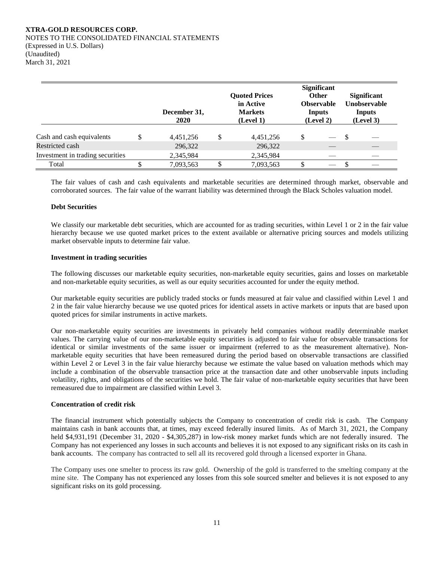|                                  | December 31,<br>2020 | <b>Quoted Prices</b><br>in Active<br><b>Markets</b><br>(Level 1) | <b>Significant</b><br><b>Other</b><br><b>Observable</b><br><b>Inputs</b><br>(Level 2) |   | <b>Significant</b><br><b>Unobservable</b><br>Inputs<br>(Level 3) |
|----------------------------------|----------------------|------------------------------------------------------------------|---------------------------------------------------------------------------------------|---|------------------------------------------------------------------|
| Cash and cash equivalents        | 4,451,256            | \$<br>4,451,256                                                  |                                                                                       | S |                                                                  |
| Restricted cash                  | 296,322              | 296,322                                                          |                                                                                       |   |                                                                  |
| Investment in trading securities | 2,345,984            | 2,345,984                                                        |                                                                                       |   |                                                                  |
| Total                            | 7,093,563            | 7,093,563                                                        |                                                                                       |   |                                                                  |

The fair values of cash and cash equivalents and marketable securities are determined through market, observable and corroborated sources. The fair value of the warrant liability was determined through the Black Scholes valuation model.

# **Debt Securities**

We classify our marketable debt securities, which are accounted for as trading securities, within Level 1 or 2 in the fair value hierarchy because we use quoted market prices to the extent available or alternative pricing sources and models utilizing market observable inputs to determine fair value.

## **Investment in trading securities**

The following discusses our marketable equity securities, non-marketable equity securities, gains and losses on marketable and non-marketable equity securities, as well as our equity securities accounted for under the equity method.

Our marketable equity securities are publicly traded stocks or funds measured at fair value and classified within Level 1 and 2 in the fair value hierarchy because we use quoted prices for identical assets in active markets or inputs that are based upon quoted prices for similar instruments in active markets.

Our non-marketable equity securities are investments in privately held companies without readily determinable market values. The carrying value of our non-marketable equity securities is adjusted to fair value for observable transactions for identical or similar investments of the same issuer or impairment (referred to as the measurement alternative). Nonmarketable equity securities that have been remeasured during the period based on observable transactions are classified within Level 2 or Level 3 in the fair value hierarchy because we estimate the value based on valuation methods which may include a combination of the observable transaction price at the transaction date and other unobservable inputs including volatility, rights, and obligations of the securities we hold. The fair value of non-marketable equity securities that have been remeasured due to impairment are classified within Level 3.

## **Concentration of credit risk**

The financial instrument which potentially subjects the Company to concentration of credit risk is cash. The Company maintains cash in bank accounts that, at times, may exceed federally insured limits. As of March 31, 2021, the Company held \$4,931,191 (December 31, 2020 - \$4,305,287) in low-risk money market funds which are not federally insured. The Company has not experienced any losses in such accounts and believes it is not exposed to any significant risks on its cash in bank accounts. The company has contracted to sell all its recovered gold through a licensed exporter in Ghana.

The Company uses one smelter to process its raw gold. Ownership of the gold is transferred to the smelting company at the mine site. The Company has not experienced any losses from this sole sourced smelter and believes it is not exposed to any significant risks on its gold processing.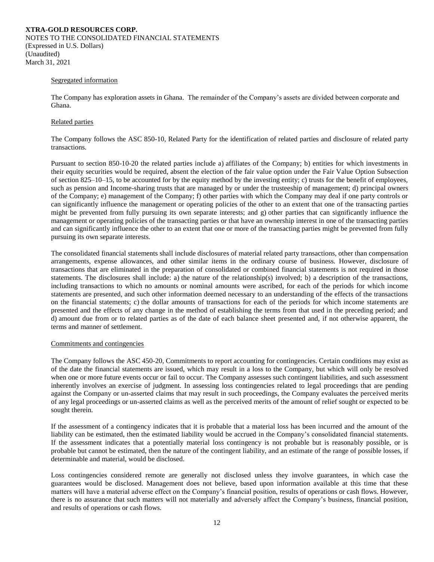## Segregated information

The Company has exploration assets in Ghana. The remainder of the Company's assets are divided between corporate and Ghana.

## Related parties

The Company follows the ASC 850-10, Related Party for the identification of related parties and disclosure of related party transactions.

Pursuant to section 850-10-20 the related parties include a) affiliates of the Company; b) entities for which investments in their equity securities would be required, absent the election of the fair value option under the Fair Value Option Subsection of section 825–10–15, to be accounted for by the equity method by the investing entity; c) trusts for the benefit of employees, such as pension and Income-sharing trusts that are managed by or under the trusteeship of management; d) principal owners of the Company; e) management of the Company; f) other parties with which the Company may deal if one party controls or can significantly influence the management or operating policies of the other to an extent that one of the transacting parties might be prevented from fully pursuing its own separate interests; and g) other parties that can significantly influence the management or operating policies of the transacting parties or that have an ownership interest in one of the transacting parties and can significantly influence the other to an extent that one or more of the transacting parties might be prevented from fully pursuing its own separate interests.

The consolidated financial statements shall include disclosures of material related party transactions, other than compensation arrangements, expense allowances, and other similar items in the ordinary course of business. However, disclosure of transactions that are eliminated in the preparation of consolidated or combined financial statements is not required in those statements. The disclosures shall include: a) the nature of the relationship(s) involved; b) a description of the transactions, including transactions to which no amounts or nominal amounts were ascribed, for each of the periods for which income statements are presented, and such other information deemed necessary to an understanding of the effects of the transactions on the financial statements; c) the dollar amounts of transactions for each of the periods for which income statements are presented and the effects of any change in the method of establishing the terms from that used in the preceding period; and d) amount due from or to related parties as of the date of each balance sheet presented and, if not otherwise apparent, the terms and manner of settlement.

#### Commitments and contingencies

The Company follows the ASC 450-20, Commitments to report accounting for contingencies. Certain conditions may exist as of the date the financial statements are issued, which may result in a loss to the Company, but which will only be resolved when one or more future events occur or fail to occur. The Company assesses such contingent liabilities, and such assessment inherently involves an exercise of judgment. In assessing loss contingencies related to legal proceedings that are pending against the Company or un-asserted claims that may result in such proceedings, the Company evaluates the perceived merits of any legal proceedings or un-asserted claims as well as the perceived merits of the amount of relief sought or expected to be sought therein.

If the assessment of a contingency indicates that it is probable that a material loss has been incurred and the amount of the liability can be estimated, then the estimated liability would be accrued in the Company's consolidated financial statements. If the assessment indicates that a potentially material loss contingency is not probable but is reasonably possible, or is probable but cannot be estimated, then the nature of the contingent liability, and an estimate of the range of possible losses, if determinable and material, would be disclosed.

Loss contingencies considered remote are generally not disclosed unless they involve guarantees, in which case the guarantees would be disclosed. Management does not believe, based upon information available at this time that these matters will have a material adverse effect on the Company's financial position, results of operations or cash flows. However, there is no assurance that such matters will not materially and adversely affect the Company's business, financial position, and results of operations or cash flows.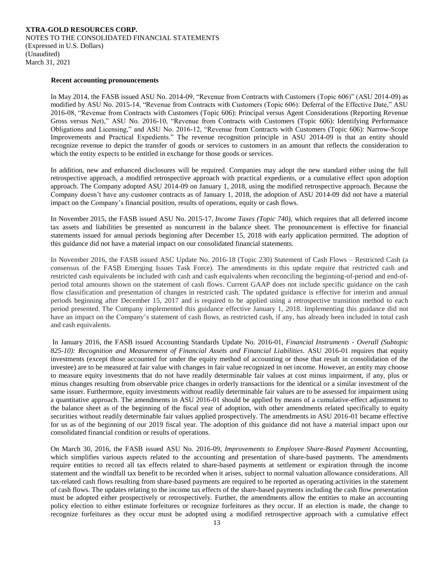#### **Recent accounting pronouncements**

In May 2014, the FASB issued ASU No. 2014-09, "Revenue from Contracts with Customers (Topic 606)" (ASU 2014-09) as modified by ASU No. 2015-14, "Revenue from Contracts with Customers (Topic 606): Deferral of the Effective Date," ASU 2016-08, "Revenue from Contracts with Customers (Topic 606): Principal versus Agent Considerations (Reporting Revenue Gross versus Net)," ASU No. 2016-10, "Revenue from Contracts with Customers (Topic 606): Identifying Performance Obligations and Licensing," and ASU No. 2016-12, "Revenue from Contracts with Customers (Topic 606): Narrow-Scope Improvements and Practical Expedients." The revenue recognition principle in ASU 2014-09 is that an entity should recognize revenue to depict the transfer of goods or services to customers in an amount that reflects the consideration to which the entity expects to be entitled in exchange for those goods or services.

In addition, new and enhanced disclosures will be required. Companies may adopt the new standard either using the full retrospective approach, a modified retrospective approach with practical expedients, or a cumulative effect upon adoption approach. The Company adopted ASU 2014-09 on January 1, 2018, using the modified retrospective approach. Because the Company doesn't have any customer contracts as of January 1, 2018, the adoption of ASU 2014-09 did not have a material impact on the Company's financial position, results of operations, equity or cash flows.

In November 2015, the FASB issued ASU No. 2015-17, *Income Taxes (Topic 740),* which requires that all deferred income tax assets and liabilities be presented as noncurrent in the balance sheet. The pronouncement is effective for financial statements issued for annual periods beginning after December 15, 2018 with early application permitted. The adoption of this guidance did not have a material impact on our consolidated financial statements.

In November 2016, the FASB issued ASC Update No. 2016-18 (Topic 230) Statement of Cash Flows – Restricted Cash (a consensus of the FASB Emerging Issues Task Force). The amendments in this update require that restricted cash and restricted cash equivalents be included with cash and cash equivalents when reconciling the beginning-of-period and end-ofperiod total amounts shown on the statement of cash flows. Current GAAP does not include specific guidance on the cash flow classification and presentation of changes in restricted cash. The updated guidance is effective for interim and annual periods beginning after December 15, 2017 and is required to be applied using a retrospective transition method to each period presented. The Company implemented this guidance effective January 1, 2018. Implementing this guidance did not have an impact on the Company's statement of cash flows, as restricted cash, if any, has already been included in total cash and cash equivalents.

In January 2016, the FASB issued Accounting Standards Update No. 2016-01, *Financial Instruments - Overall (Subtopic 825-10): Recognition and Measurement of Financial Assets and Financial Liabilities*. ASU 2016-01 requires that equity investments (except those accounted for under the equity method of accounting or those that result in consolidation of the investee) are to be measured at fair value with changes in fair value recognized in net income. However, an entity may choose to measure equity investments that do not have readily determinable fair values at cost minus impairment, if any, plus or minus changes resulting from observable price changes in orderly transactions for the identical or a similar investment of the same issuer. Furthermore, equity investments without readily determinable fair values are to be assessed for impairment using a quantitative approach. The amendments in ASU 2016-01 should be applied by means of a cumulative-effect adjustment to the balance sheet as of the beginning of the fiscal year of adoption, with other amendments related specifically to equity securities without readily determinable fair values applied prospectively. The amendments in ASU 2016-01 became effective for us as of the beginning of our 2019 fiscal year. The adoption of this guidance did not have a material impact upon our consolidated financial condition or results of operations.

On March 30, 2016, the FASB issued ASU No. 2016-09, *Improvements to Employee Share-Based Payment* Accounting, which simplifies various aspects related to the accounting and presentation of share-based payments. The amendments require entities to record all tax effects related to share-based payments at settlement or expiration through the income statement and the windfall tax benefit to be recorded when it arises, subject to normal valuation allowance considerations. All tax-related cash flows resulting from share-based payments are required to be reported as operating activities in the statement of cash flows. The updates relating to the income tax effects of the share-based payments including the cash flow presentation must be adopted either prospectively or retrospectively. Further, the amendments allow the entities to make an accounting policy election to either estimate forfeitures or recognize forfeitures as they occur. If an election is made, the change to recognize forfeitures as they occur must be adopted using a modified retrospective approach with a cumulative effect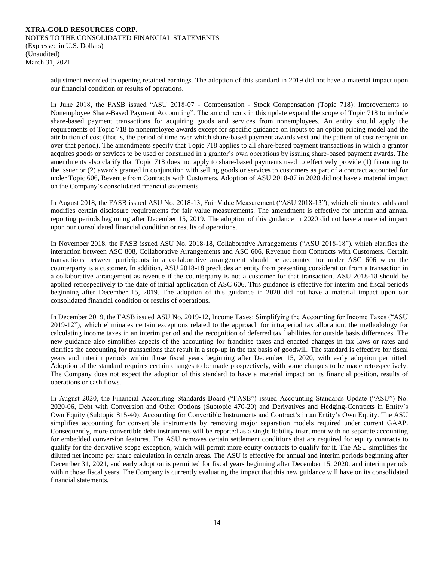adjustment recorded to opening retained earnings. The adoption of this standard in 2019 did not have a material impact upon our financial condition or results of operations.

In June 2018, the FASB issued "ASU 2018-07 - Compensation - Stock Compensation (Topic 718): Improvements to Nonemployee Share-Based Payment Accounting". The amendments in this update expand the scope of Topic 718 to include share-based payment transactions for acquiring goods and services from nonemployees. An entity should apply the requirements of Topic 718 to nonemployee awards except for specific guidance on inputs to an option pricing model and the attribution of cost (that is, the period of time over which share-based payment awards vest and the pattern of cost recognition over that period). The amendments specify that Topic 718 applies to all share-based payment transactions in which a grantor acquires goods or services to be used or consumed in a grantor's own operations by issuing share-based payment awards. The amendments also clarify that Topic 718 does not apply to share-based payments used to effectively provide (1) financing to the issuer or (2) awards granted in conjunction with selling goods or services to customers as part of a contract accounted for under Topic 606, Revenue from Contracts with Customers. Adoption of ASU 2018-07 in 2020 did not have a material impact on the Company's consolidated financial statements.

In August 2018, the FASB issued ASU No. 2018-13, Fair Value Measurement ("ASU 2018-13"), which eliminates, adds and modifies certain disclosure requirements for fair value measurements. The amendment is effective for interim and annual reporting periods beginning after December 15, 2019. The adoption of this guidance in 2020 did not have a material impact upon our consolidated financial condition or results of operations.

In November 2018, the FASB issued ASU No. 2018-18, Collaborative Arrangements ("ASU 2018-18"), which clarifies the interaction between ASC 808, Collaborative Arrangements and ASC 606, Revenue from Contracts with Customers. Certain transactions between participants in a collaborative arrangement should be accounted for under ASC 606 when the counterparty is a customer. In addition, ASU 2018-18 precludes an entity from presenting consideration from a transaction in a collaborative arrangement as revenue if the counterparty is not a customer for that transaction. ASU 2018-18 should be applied retrospectively to the date of initial application of ASC 606. This guidance is effective for interim and fiscal periods beginning after December 15, 2019. The adoption of this guidance in 2020 did not have a material impact upon our consolidated financial condition or results of operations.

In December 2019, the FASB issued ASU No. 2019-12, Income Taxes: Simplifying the Accounting for Income Taxes ("ASU 2019-12"), which eliminates certain exceptions related to the approach for intraperiod tax allocation, the methodology for calculating income taxes in an interim period and the recognition of deferred tax liabilities for outside basis differences. The new guidance also simplifies aspects of the accounting for franchise taxes and enacted changes in tax laws or rates and clarifies the accounting for transactions that result in a step-up in the tax basis of goodwill. The standard is effective for fiscal years and interim periods within those fiscal years beginning after December 15, 2020, with early adoption permitted. Adoption of the standard requires certain changes to be made prospectively, with some changes to be made retrospectively. The Company does not expect the adoption of this standard to have a material impact on its financial position, results of operations or cash flows.

In August 2020, the Financial Accounting Standards Board ("FASB") issued Accounting Standards Update ("ASU") No. 2020-06, Debt with Conversion and Other Options (Subtopic 470-20) and Derivatives and Hedging-Contracts in Entity's Own Equity (Subtopic 815-40), Accounting for Convertible Instruments and Contract's in an Entity's Own Equity. The ASU simplifies accounting for convertible instruments by removing major separation models required under current GAAP. Consequently, more convertible debt instruments will be reported as a single liability instrument with no separate accounting for embedded conversion features. The ASU removes certain settlement conditions that are required for equity contracts to qualify for the derivative scope exception, which will permit more equity contracts to qualify for it. The ASU simplifies the diluted net income per share calculation in certain areas. The ASU is effective for annual and interim periods beginning after December 31, 2021, and early adoption is permitted for fiscal years beginning after December 15, 2020, and interim periods within those fiscal years. The Company is currently evaluating the impact that this new guidance will have on its consolidated financial statements.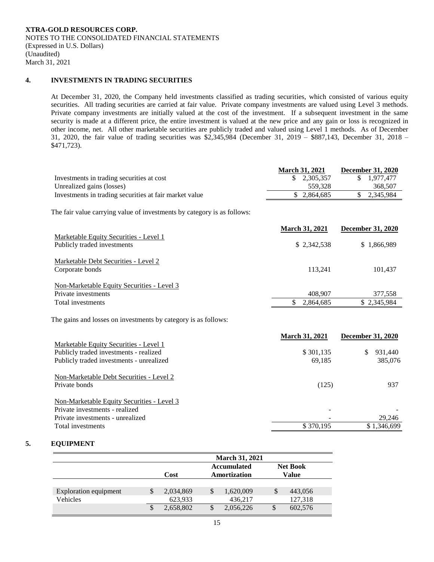## **4. INVESTMENTS IN TRADING SECURITIES**

At December 31, 2020, the Company held investments classified as trading securities, which consisted of various equity securities. All trading securities are carried at fair value. Private company investments are valued using Level 3 methods. Private company investments are initially valued at the cost of the investment. If a subsequent investment in the same security is made at a different price, the entire investment is valued at the new price and any gain or loss is recognized in other income, net. All other marketable securities are publicly traded and valued using Level 1 methods. As of December 31, 2020, the fair value of trading securities was \$2,345,984 (December 31, 2019 – \$887,143, December 31, 2018 – \$471,723).

|                                                                              | <b>March 31, 2021</b> | <b>December 31, 2020</b> |
|------------------------------------------------------------------------------|-----------------------|--------------------------|
| Investments in trading securities at cost                                    | \$.<br>2,305,357      | S.<br>1,977,477          |
| Unrealized gains (losses)                                                    | 559,328               | 368,507                  |
| Investments in trading securities at fair market value                       | \$2,864,685           | 2,345,984<br>\$.         |
| The fair value carrying value of investments by category is as follows:      |                       |                          |
|                                                                              | <b>March 31, 2021</b> | December 31, 2020        |
| Marketable Equity Securities - Level 1<br>Publicly traded investments        | \$2,342,538           | \$1,866,989              |
| Marketable Debt Securities - Level 2<br>Corporate bonds                      | 113,241               | 101,437                  |
| Non-Marketable Equity Securities - Level 3<br>Private investments            |                       |                          |
|                                                                              | 408,907               | 377,558                  |
| Total investments                                                            | \$<br>2,864,685       | \$2,345,984              |
| The gains and losses on investments by category is as follows:               |                       |                          |
| Marketable Equity Securities - Level 1                                       | <b>March 31, 2021</b> | <b>December 31, 2020</b> |
| Publicly traded investments - realized                                       | \$301,135             | \$<br>931,440            |
| Publicly traded investments - unrealized                                     | 69,185                | 385,076                  |
| Non-Marketable Debt Securities - Level 2<br>Private bonds                    | (125)                 | 937                      |
| Non-Marketable Equity Securities - Level 3<br>Private investments - realized |                       |                          |
| Private investments - unrealized                                             |                       | 29,246                   |
| Total investments                                                            | \$370,195             | \$1,346,699              |
|                                                                              |                       |                          |

# **5. EQUIPMENT**

|                       | <b>March 31, 2021</b> |    |                                    |   |                          |  |  |
|-----------------------|-----------------------|----|------------------------------------|---|--------------------------|--|--|
|                       | Cost                  |    | <b>Accumulated</b><br>Amortization |   | <b>Net Book</b><br>Value |  |  |
|                       |                       |    |                                    |   |                          |  |  |
| Exploration equipment | \$<br>2,034,869       | \$ | 1,620,009                          | S | 443,056                  |  |  |
| Vehicles              | 623,933               |    | 436,217                            |   | 127,318                  |  |  |
|                       | \$<br>2,658,802       | \$ | 2,056,226                          |   | 602,576                  |  |  |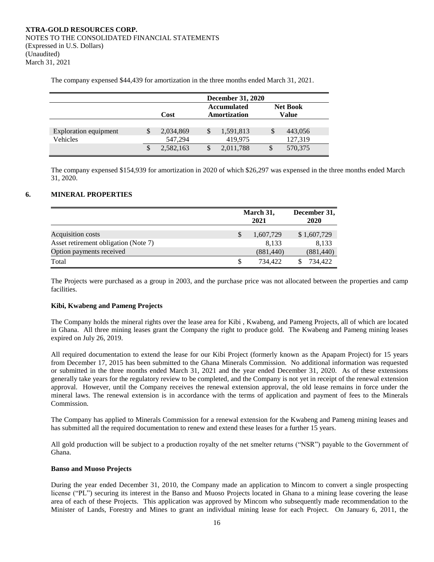The company expensed \$44,439 for amortization in the three months ended March 31, 2021.

|                       |                                            |    | <b>December 31, 2020</b> |   |                                 |
|-----------------------|--------------------------------------------|----|--------------------------|---|---------------------------------|
|                       | <b>Accumulated</b><br>Amortization<br>Cost |    |                          |   | <b>Net Book</b><br><b>Value</b> |
| Exploration equipment | \$<br>2,034,869                            | \$ | 1,591,813                | S | 443,056                         |
| Vehicles              | 547,294                                    |    | 419,975                  |   | 127,319                         |
|                       | \$<br>2,582,163                            | S  | 2,011,788                | ╓ | 570,375                         |

The company expensed \$154,939 for amortization in 2020 of which \$26,297 was expensed in the three months ended March 31, 2020.

# **6. MINERAL PROPERTIES**

|                                      |   | March 31,<br>2021 | December 31,<br>2020 |  |
|--------------------------------------|---|-------------------|----------------------|--|
| Acquisition costs                    | S | 1,607,729         | \$1,607,729          |  |
| Asset retirement obligation (Note 7) |   | 8.133             | 8.133                |  |
| Option payments received             |   | (881, 440)        | (881, 440)           |  |
| Total                                |   | 734.422           | 734.422              |  |

The Projects were purchased as a group in 2003, and the purchase price was not allocated between the properties and camp facilities.

## **Kibi, Kwabeng and Pameng Projects**

The Company holds the mineral rights over the lease area for Kibi , Kwabeng, and Pameng Projects, all of which are located in Ghana. All three mining leases grant the Company the right to produce gold. The Kwabeng and Pameng mining leases expired on July 26, 2019.

All required documentation to extend the lease for our Kibi Project (formerly known as the Apapam Project) for 15 years from December 17, 2015 has been submitted to the Ghana Minerals Commission. No additional information was requested or submitted in the three months ended March 31, 2021 and the year ended December 31, 2020. As of these extensions generally take years for the regulatory review to be completed, and the Company is not yet in receipt of the renewal extension approval. However, until the Company receives the renewal extension approval, the old lease remains in force under the mineral laws. The renewal extension is in accordance with the terms of application and payment of fees to the Minerals Commission.

The Company has applied to Minerals Commission for a renewal extension for the Kwabeng and Pameng mining leases and has submitted all the required documentation to renew and extend these leases for a further 15 years.

All gold production will be subject to a production royalty of the net smelter returns ("NSR") payable to the Government of Ghana.

## **Banso and Muoso Projects**

During the year ended December 31, 2010, the Company made an application to Mincom to convert a single prospecting license ("PL") securing its interest in the Banso and Muoso Projects located in Ghana to a mining lease covering the lease area of each of these Projects. This application was approved by Mincom who subsequently made recommendation to the Minister of Lands, Forestry and Mines to grant an individual mining lease for each Project. On January 6, 2011, the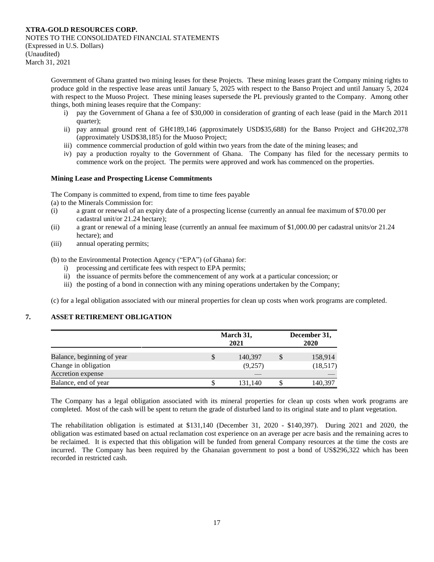Government of Ghana granted two mining leases for these Projects. These mining leases grant the Company mining rights to produce gold in the respective lease areas until January 5, 2025 with respect to the Banso Project and until January 5, 2024 with respect to the Muoso Project. These mining leases supersede the PL previously granted to the Company. Among other things, both mining leases require that the Company:

- i) pay the Government of Ghana a fee of \$30,000 in consideration of granting of each lease (paid in the March 2011 quarter);
- ii) pay annual ground rent of GH¢189,146 (approximately USD\$35,688) for the Banso Project and GH¢202,378 (approximately USD\$38,185) for the Muoso Project;
- iii) commence commercial production of gold within two years from the date of the mining leases; and
- iv) pay a production royalty to the Government of Ghana. The Company has filed for the necessary permits to commence work on the project. The permits were approved and work has commenced on the properties.

## **Mining Lease and Prospecting License Commitments**

The Company is committed to expend, from time to time fees payable

(a) to the Minerals Commission for:

- (i) a grant or renewal of an expiry date of a prospecting license (currently an annual fee maximum of \$70.00 per cadastral unit/or 21.24 hectare);
- (ii) a grant or renewal of a mining lease (currently an annual fee maximum of \$1,000.00 per cadastral units/or 21.24 hectare); and
- (iii) annual operating permits;

(b) to the Environmental Protection Agency ("EPA") (of Ghana) for:

- i) processing and certificate fees with respect to EPA permits;
- ii) the issuance of permits before the commencement of any work at a particular concession; or
- iii) the posting of a bond in connection with any mining operations undertaken by the Company;

(c) for a legal obligation associated with our mineral properties for clean up costs when work programs are completed.

# **7. ASSET RETIREMENT OBLIGATION**

|                            | March 31,<br>2021 |         | December 31,<br>2020 |  |  |
|----------------------------|-------------------|---------|----------------------|--|--|
| Balance, beginning of year | \$                | 140,397 | 158,914              |  |  |
| Change in obligation       |                   | (9,257) | (18,517)             |  |  |
| Accretion expense          |                   |         |                      |  |  |
| Balance, end of year       |                   | 131,140 | 140,397              |  |  |

The Company has a legal obligation associated with its mineral properties for clean up costs when work programs are completed. Most of the cash will be spent to return the grade of disturbed land to its original state and to plant vegetation.

The rehabilitation obligation is estimated at \$131,140 (December 31, 2020 - \$140,397). During 2021 and 2020, the obligation was estimated based on actual reclamation cost experience on an average per acre basis and the remaining acres to be reclaimed. It is expected that this obligation will be funded from general Company resources at the time the costs are incurred. The Company has been required by the Ghanaian government to post a bond of US\$296,322 which has been recorded in restricted cash.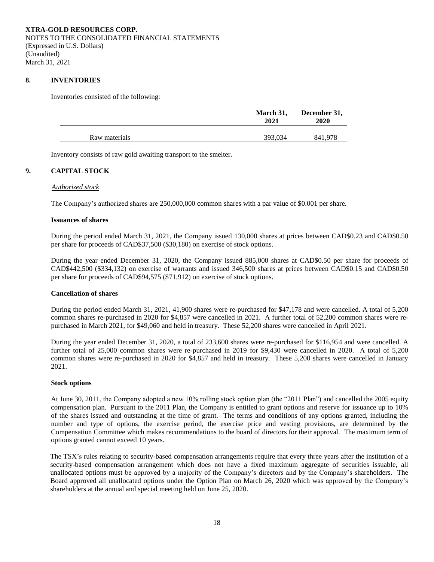## **8. INVENTORIES**

Inventories consisted of the following:

|               | March 31,<br>2021 | December 31,<br>2020 |
|---------------|-------------------|----------------------|
| Raw materials | 393,034           | 841,978              |
|               |                   |                      |

Inventory consists of raw gold awaiting transport to the smelter.

## **9. CAPITAL STOCK**

#### *Authorized stock*

The Company's authorized shares are 250,000,000 common shares with a par value of \$0.001 per share.

#### **Issuances of shares**

During the period ended March 31, 2021, the Company issued 130,000 shares at prices between CAD\$0.23 and CAD\$0.50 per share for proceeds of CAD\$37,500 (\$30,180) on exercise of stock options.

During the year ended December 31, 2020, the Company issued 885,000 shares at CAD\$0.50 per share for proceeds of CAD\$442,500 (\$334,132) on exercise of warrants and issued 346,500 shares at prices between CAD\$0.15 and CAD\$0.50 per share for proceeds of CAD\$94,575 (\$71,912) on exercise of stock options.

## **Cancellation of shares**

During the period ended March 31, 2021, 41,900 shares were re-purchased for \$47,178 and were cancelled. A total of 5,200 common shares re-purchased in 2020 for \$4,857 were cancelled in 2021. A further total of 52,200 common shares were repurchased in March 2021, for \$49,060 and held in treasury. These 52,200 shares were cancelled in April 2021.

During the year ended December 31, 2020, a total of 233,600 shares were re-purchased for \$116,954 and were cancelled. A further total of 25,000 common shares were re-purchased in 2019 for \$9,430 were cancelled in 2020. A total of 5,200 common shares were re-purchased in 2020 for \$4,857 and held in treasury. These 5,200 shares were cancelled in January 2021.

#### **Stock options**

At June 30, 2011, the Company adopted a new 10% rolling stock option plan (the "2011 Plan") and cancelled the 2005 equity compensation plan. Pursuant to the 2011 Plan, the Company is entitled to grant options and reserve for issuance up to 10% of the shares issued and outstanding at the time of grant. The terms and conditions of any options granted, including the number and type of options, the exercise period, the exercise price and vesting provisions, are determined by the Compensation Committee which makes recommendations to the board of directors for their approval. The maximum term of options granted cannot exceed 10 years.

The TSX's rules relating to security-based compensation arrangements require that every three years after the institution of a security-based compensation arrangement which does not have a fixed maximum aggregate of securities issuable, all unallocated options must be approved by a majority of the Company's directors and by the Company's shareholders. The Board approved all unallocated options under the Option Plan on March 26, 2020 which was approved by the Company's shareholders at the annual and special meeting held on June 25, 2020.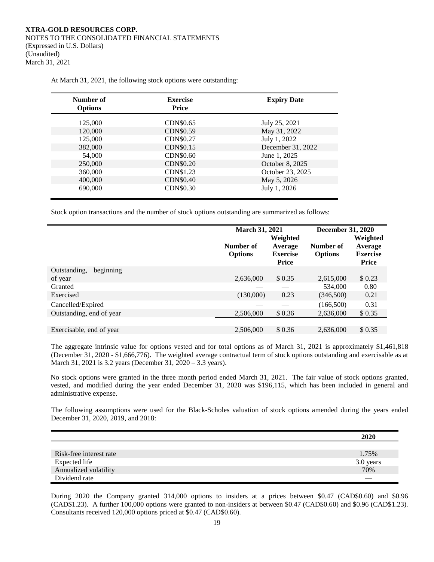| Number of      | <b>Exercise</b>  | <b>Expiry Date</b> |
|----------------|------------------|--------------------|
| <b>Options</b> | <b>Price</b>     |                    |
| 125,000        | CDN\$0.65        | July 25, 2021      |
| 120,000        | CDN\$0.59        | May 31, 2022       |
| 125,000        | CDN\$0.27        | July 1, 2022       |
| 382,000        | CDN\$0.15        | December 31, 2022  |
| 54,000         | <b>CDN\$0.60</b> | June 1, 2025       |
| 250,000        | <b>CDN\$0.20</b> | October 8, 2025    |
| 360,000        | CDN\$1.23        | October 23, 2025   |
| 400,000        | <b>CDN\$0.40</b> | May 5, 2026        |
| 690,000        | CDN\$0.30        | July 1, 2026       |
|                |                  |                    |

At March 31, 2021, the following stock options were outstanding:

Stock option transactions and the number of stock options outstanding are summarized as follows:

|                           | <b>March 31, 2021</b>       |                                                        | <b>December 31, 2020</b>    |                                                        |  |
|---------------------------|-----------------------------|--------------------------------------------------------|-----------------------------|--------------------------------------------------------|--|
|                           | Number of<br><b>Options</b> | Weighted<br>Average<br><b>Exercise</b><br><b>Price</b> | Number of<br><b>Options</b> | Weighted<br>Average<br><b>Exercise</b><br><b>Price</b> |  |
| beginning<br>Outstanding, |                             |                                                        |                             |                                                        |  |
| of year                   | 2,636,000                   | \$0.35                                                 | 2,615,000                   | \$0.23                                                 |  |
| Granted                   |                             |                                                        | 534,000                     | 0.80                                                   |  |
| Exercised                 | (130,000)                   | 0.23                                                   | (346,500)                   | 0.21                                                   |  |
| Cancelled/Expired         |                             |                                                        | (166,500)                   | 0.31                                                   |  |
| Outstanding, end of year  | 2,506,000                   | \$0.36                                                 | 2,636,000                   | \$0.35                                                 |  |
|                           |                             |                                                        |                             |                                                        |  |
| Exercisable, end of year  | 2.506,000                   | \$0.36                                                 | 2.636,000                   | \$0.35                                                 |  |

The aggregate intrinsic value for options vested and for total options as of March 31, 2021 is approximately \$1,461,818 (December 31, 2020 - \$1,666,776). The weighted average contractual term of stock options outstanding and exercisable as at March 31, 2021 is 3.2 years (December 31, 2020 – 3.3 years).

No stock options were granted in the three month period ended March 31, 2021. The fair value of stock options granted, vested, and modified during the year ended December 31, 2020 was \$196,115, which has been included in general and administrative expense.

The following assumptions were used for the Black-Scholes valuation of stock options amended during the years ended December 31, 2020, 2019, and 2018:

|                         | 2020             |
|-------------------------|------------------|
|                         |                  |
| Risk-free interest rate | 1.75%            |
| Expected life           | 3.0 years<br>70% |
| Annualized volatility   |                  |
| Dividend rate           | __               |

During 2020 the Company granted 314,000 options to insiders at a prices between \$0.47 (CAD\$0.60) and \$0.96 (CAD\$1.23). A further 100,000 options were granted to non-insiders at between \$0.47 (CAD\$0.60) and \$0.96 (CAD\$1.23). Consultants received 120,000 options priced at \$0.47 (CAD\$0.60).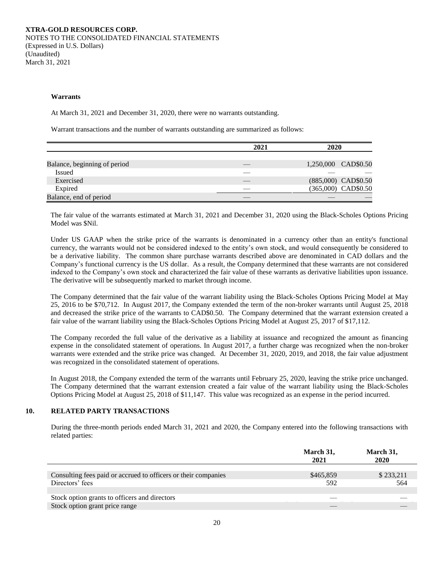## **Warrants**

At March 31, 2021 and December 31, 2020, there were no warrants outstanding.

Warrant transactions and the number of warrants outstanding are summarized as follows:

|                              | 2021 | 2020                |  |
|------------------------------|------|---------------------|--|
|                              |      |                     |  |
| Balance, beginning of period |      | 1,250,000 CAD\$0.50 |  |
| <b>Issued</b>                |      |                     |  |
| Exercised                    |      | (885,000) CAD\$0.50 |  |
| Expired                      | ___  | (365,000) CAD\$0.50 |  |
| Balance, end of period       |      |                     |  |

The fair value of the warrants estimated at March 31, 2021 and December 31, 2020 using the Black-Scholes Options Pricing Model was \$Nil.

Under US GAAP when the strike price of the warrants is denominated in a currency other than an entity's functional currency, the warrants would not be considered indexed to the entity's own stock, and would consequently be considered to be a derivative liability. The common share purchase warrants described above are denominated in CAD dollars and the Company's functional currency is the US dollar. As a result, the Company determined that these warrants are not considered indexed to the Company's own stock and characterized the fair value of these warrants as derivative liabilities upon issuance. The derivative will be subsequently marked to market through income.

The Company determined that the fair value of the warrant liability using the Black-Scholes Options Pricing Model at May 25, 2016 to be \$70,712. In August 2017, the Company extended the term of the non-broker warrants until August 25, 2018 and decreased the strike price of the warrants to CAD\$0.50. The Company determined that the warrant extension created a fair value of the warrant liability using the Black-Scholes Options Pricing Model at August 25, 2017 of \$17,112.

The Company recorded the full value of the derivative as a liability at issuance and recognized the amount as financing expense in the consolidated statement of operations. In August 2017, a further charge was recognized when the non-broker warrants were extended and the strike price was changed. At December 31, 2020, 2019, and 2018, the fair value adjustment was recognized in the consolidated statement of operations.

In August 2018, the Company extended the term of the warrants until February 25, 2020, leaving the strike price unchanged. The Company determined that the warrant extension created a fair value of the warrant liability using the Black-Scholes Options Pricing Model at August 25, 2018 of \$11,147. This value was recognized as an expense in the period incurred.

# **10. RELATED PARTY TRANSACTIONS**

During the three-month periods ended March 31, 2021 and 2020, the Company entered into the following transactions with related parties:

|                                                                | March 31,<br>2021 | March 31,<br>2020 |
|----------------------------------------------------------------|-------------------|-------------------|
|                                                                |                   |                   |
| Consulting fees paid or accrued to officers or their companies | \$465,859         | \$233,211         |
| Directors' fees                                                | 592               | 564               |
|                                                                |                   |                   |
| Stock option grants to officers and directors                  |                   |                   |
| Stock option grant price range                                 |                   |                   |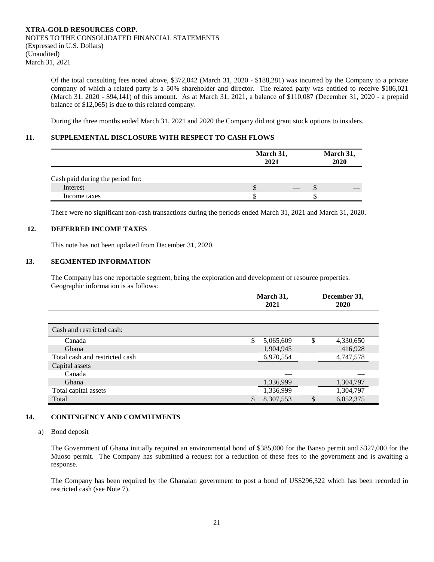Of the total consulting fees noted above, \$372,042 (March 31, 2020 - \$188,281) was incurred by the Company to a private company of which a related party is a 50% shareholder and director. The related party was entitled to receive \$186,021 (March 31, 2020 - \$94,141) of this amount. As at March 31, 2021, a balance of \$110,087 (December 31, 2020 - a prepaid balance of \$12,065) is due to this related company.

During the three months ended March 31, 2021 and 2020 the Company did not grant stock options to insiders.

# **11. SUPPLEMENTAL DISCLOSURE WITH RESPECT TO CASH FLOWS**

|                                  |    | March 31,<br>2021 |  |
|----------------------------------|----|-------------------|--|
| Cash paid during the period for: |    |                   |  |
| Interest                         | ٠D |                   |  |
| Income taxes                     |    |                   |  |

There were no significant non-cash transactions during the periods ended March 31, 2021 and March 31, 2020.

# **12. DEFERRED INCOME TAXES**

This note has not been updated from December 31, 2020.

# **13. SEGMENTED INFORMATION**

The Company has one reportable segment, being the exploration and development of resource properties. Geographic information is as follows:

|                                | March 31,<br>2021 |           | December 31,<br>2020 |
|--------------------------------|-------------------|-----------|----------------------|
|                                |                   |           |                      |
| Cash and restricted cash:      |                   |           |                      |
| Canada                         | \$                | 5,065,609 | \$<br>4,330,650      |
| Ghana                          |                   | 1,904,945 | 416,928              |
| Total cash and restricted cash |                   | 6,970,554 | 4,747,578            |
| Capital assets                 |                   |           |                      |
| Canada                         |                   |           |                      |
| Ghana                          |                   | 1,336,999 | 1,304,797            |
| Total capital assets           |                   | 1,336,999 | 1,304,797            |
| Total                          |                   | 8,307,553 | 6,052,375            |

## **14. CONTINGENCY AND COMMITMENTS**

#### a) Bond deposit

The Government of Ghana initially required an environmental bond of \$385,000 for the Banso permit and \$327,000 for the Muoso permit. The Company has submitted a request for a reduction of these fees to the government and is awaiting a response.

The Company has been required by the Ghanaian government to post a bond of US\$296,322 which has been recorded in restricted cash (see Note 7).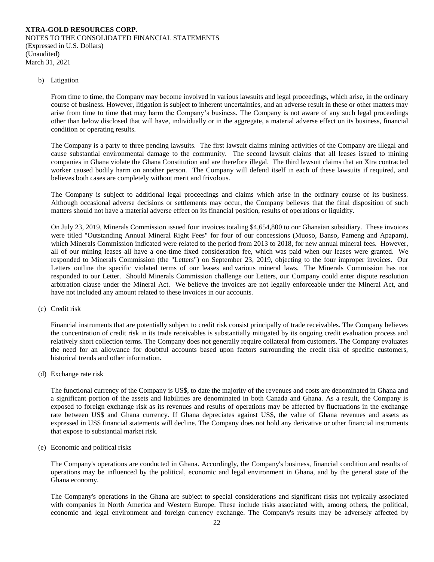b) Litigation

From time to time, the Company may become involved in various lawsuits and legal proceedings, which arise, in the ordinary course of business. However, litigation is subject to inherent uncertainties, and an adverse result in these or other matters may arise from time to time that may harm the Company's business. The Company is not aware of any such legal proceedings other than below disclosed that will have, individually or in the aggregate, a material adverse effect on its business, financial condition or operating results.

The Company is a party to three pending lawsuits. The first lawsuit claims mining activities of the Company are illegal and cause substantial environmental damage to the community. The second lawsuit claims that all leases issued to mining companies in Ghana violate the Ghana Constitution and are therefore illegal. The third lawsuit claims that an Xtra contracted worker caused bodily harm on another person. The Company will defend itself in each of these lawsuits if required, and believes both cases are completely without merit and frivolous.

The Company is subject to additional legal proceedings and claims which arise in the ordinary course of its business. Although occasional adverse decisions or settlements may occur, the Company believes that the final disposition of such matters should not have a material adverse effect on its financial position, results of operations or liquidity.

On July 23, 2019, Minerals Commission issued four invoices totaling \$4,654,800 to our Ghanaian subsidiary. These invoices were titled "Outstanding Annual Mineral Right Fees" for four of our concessions (Muoso, Banso, Pameng and Apapam), which Minerals Commission indicated were related to the period from 2013 to 2018, for new annual mineral fees. However, all of our mining leases all have a one-time fixed consideration fee, which was paid when our leases were granted. We responded to Minerals Commission (the "Letters") on September 23, 2019, objecting to the four improper invoices. Our Letters outline the specific violated terms of our leases and various mineral laws. The Minerals Commission has not responded to our Letter. Should Minerals Commission challenge our Letters, our Company could enter dispute resolution arbitration clause under the Mineral Act. We believe the invoices are not legally enforceable under the Mineral Act, and have not included any amount related to these invoices in our accounts.

(c) Credit risk

Financial instruments that are potentially subject to credit risk consist principally of trade receivables. The Company believes the concentration of credit risk in its trade receivables is substantially mitigated by its ongoing credit evaluation process and relatively short collection terms. The Company does not generally require collateral from customers. The Company evaluates the need for an allowance for doubtful accounts based upon factors surrounding the credit risk of specific customers, historical trends and other information.

(d) Exchange rate risk

The functional currency of the Company is US\$, to date the majority of the revenues and costs are denominated in Ghana and a significant portion of the assets and liabilities are denominated in both Canada and Ghana. As a result, the Company is exposed to foreign exchange risk as its revenues and results of operations may be affected by fluctuations in the exchange rate between US\$ and Ghana currency. If Ghana depreciates against US\$, the value of Ghana revenues and assets as expressed in US\$ financial statements will decline. The Company does not hold any derivative or other financial instruments that expose to substantial market risk.

(e) Economic and political risks

The Company's operations are conducted in Ghana. Accordingly, the Company's business, financial condition and results of operations may be influenced by the political, economic and legal environment in Ghana, and by the general state of the Ghana economy.

The Company's operations in the Ghana are subject to special considerations and significant risks not typically associated with companies in North America and Western Europe. These include risks associated with, among others, the political, economic and legal environment and foreign currency exchange. The Company's results may be adversely affected by